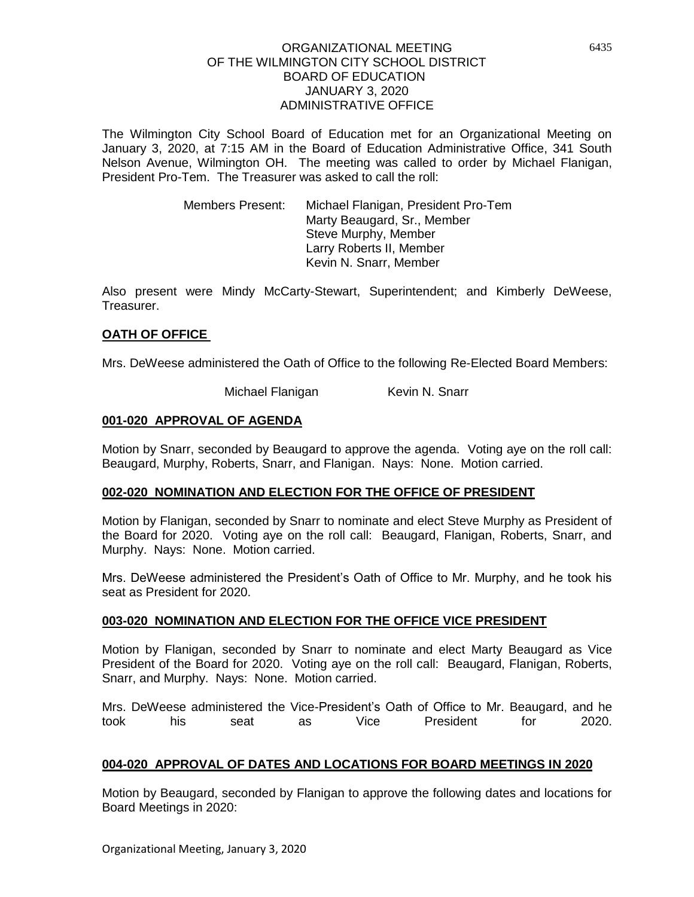The Wilmington City School Board of Education met for an Organizational Meeting on January 3, 2020, at 7:15 AM in the Board of Education Administrative Office, 341 South Nelson Avenue, Wilmington OH. The meeting was called to order by Michael Flanigan, President Pro-Tem. The Treasurer was asked to call the roll:

> Members Present: Michael Flanigan, President Pro-Tem Marty Beaugard, Sr., Member Steve Murphy, Member Larry Roberts II, Member Kevin N. Snarr, Member

Also present were Mindy McCarty-Stewart, Superintendent; and Kimberly DeWeese, Treasurer.

### **OATH OF OFFICE**

Mrs. DeWeese administered the Oath of Office to the following Re-Elected Board Members:

Michael Flanigan Kevin N. Snarr

## **001-020 APPROVAL OF AGENDA**

Motion by Snarr, seconded by Beaugard to approve the agenda. Voting aye on the roll call: Beaugard, Murphy, Roberts, Snarr, and Flanigan. Nays: None. Motion carried.

### **002-020 NOMINATION AND ELECTION FOR THE OFFICE OF PRESIDENT**

Motion by Flanigan, seconded by Snarr to nominate and elect Steve Murphy as President of the Board for 2020. Voting aye on the roll call: Beaugard, Flanigan, Roberts, Snarr, and Murphy. Nays: None. Motion carried.

Mrs. DeWeese administered the President's Oath of Office to Mr. Murphy, and he took his seat as President for 2020.

### **003-020 NOMINATION AND ELECTION FOR THE OFFICE VICE PRESIDENT**

Motion by Flanigan, seconded by Snarr to nominate and elect Marty Beaugard as Vice President of the Board for 2020. Voting aye on the roll call: Beaugard, Flanigan, Roberts, Snarr, and Murphy. Nays: None. Motion carried.

Mrs. DeWeese administered the Vice-President's Oath of Office to Mr. Beaugard, and he took his seat as Vice President for 2020.

### **004-020 APPROVAL OF DATES AND LOCATIONS FOR BOARD MEETINGS IN 2020**

Motion by Beaugard, seconded by Flanigan to approve the following dates and locations for Board Meetings in 2020: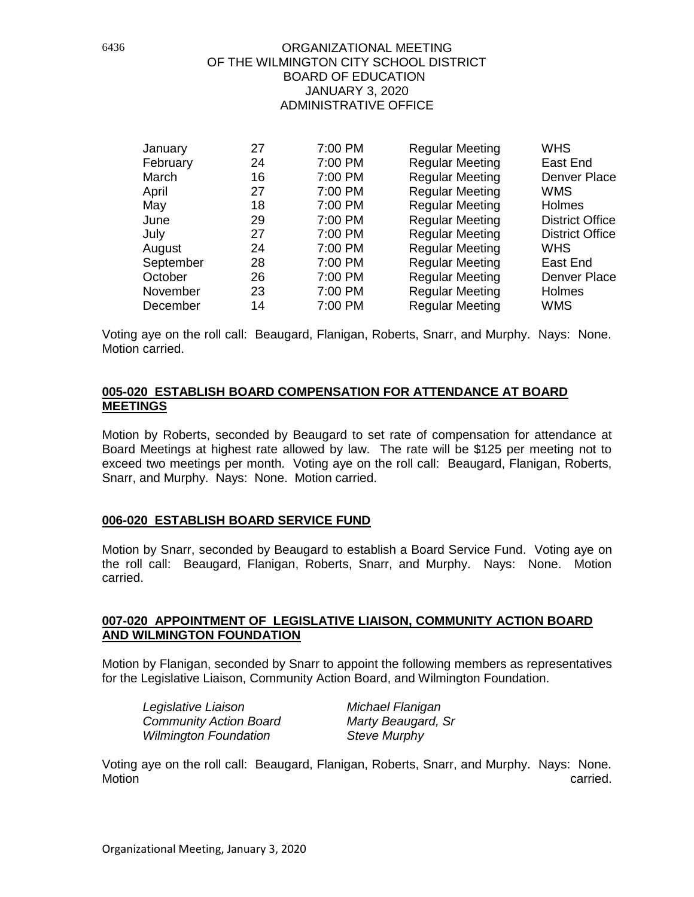| January   | 27 | 7:00 PM | <b>Regular Meeting</b> | <b>WHS</b>             |
|-----------|----|---------|------------------------|------------------------|
| February  | 24 | 7:00 PM | <b>Regular Meeting</b> | East End               |
| March     | 16 | 7:00 PM | <b>Regular Meeting</b> | Denver Place           |
| April     | 27 | 7:00 PM | <b>Regular Meeting</b> | <b>WMS</b>             |
| May       | 18 | 7:00 PM | <b>Regular Meeting</b> | Holmes                 |
| June      | 29 | 7:00 PM | <b>Regular Meeting</b> | <b>District Office</b> |
| July      | 27 | 7:00 PM | <b>Regular Meeting</b> | <b>District Office</b> |
| August    | 24 | 7:00 PM | <b>Regular Meeting</b> | <b>WHS</b>             |
| September | 28 | 7:00 PM | <b>Regular Meeting</b> | East End               |
| October   | 26 | 7:00 PM | <b>Regular Meeting</b> | Denver Place           |
| November  | 23 | 7:00 PM | <b>Regular Meeting</b> | Holmes                 |
| December  | 14 | 7:00 PM | <b>Regular Meeting</b> | <b>WMS</b>             |

Voting aye on the roll call: Beaugard, Flanigan, Roberts, Snarr, and Murphy. Nays: None. Motion carried.

## **005-020 ESTABLISH BOARD COMPENSATION FOR ATTENDANCE AT BOARD MEETINGS**

Motion by Roberts, seconded by Beaugard to set rate of compensation for attendance at Board Meetings at highest rate allowed by law. The rate will be \$125 per meeting not to exceed two meetings per month. Voting aye on the roll call: Beaugard, Flanigan, Roberts, Snarr, and Murphy. Nays: None. Motion carried.

### **006-020 ESTABLISH BOARD SERVICE FUND**

Motion by Snarr, seconded by Beaugard to establish a Board Service Fund. Voting aye on the roll call: Beaugard, Flanigan, Roberts, Snarr, and Murphy. Nays: None. Motion carried.

### **007-020 APPOINTMENT OF LEGISLATIVE LIAISON, COMMUNITY ACTION BOARD AND WILMINGTON FOUNDATION**

Motion by Flanigan, seconded by Snarr to appoint the following members as representatives for the Legislative Liaison, Community Action Board, and Wilmington Foundation.

*Legislative Liaison Michael Flanigan Community Action Board Marty Beaugard, Sr Wilmington Foundation* 

Voting aye on the roll call: Beaugard, Flanigan, Roberts, Snarr, and Murphy. Nays: None. Motion **carried.**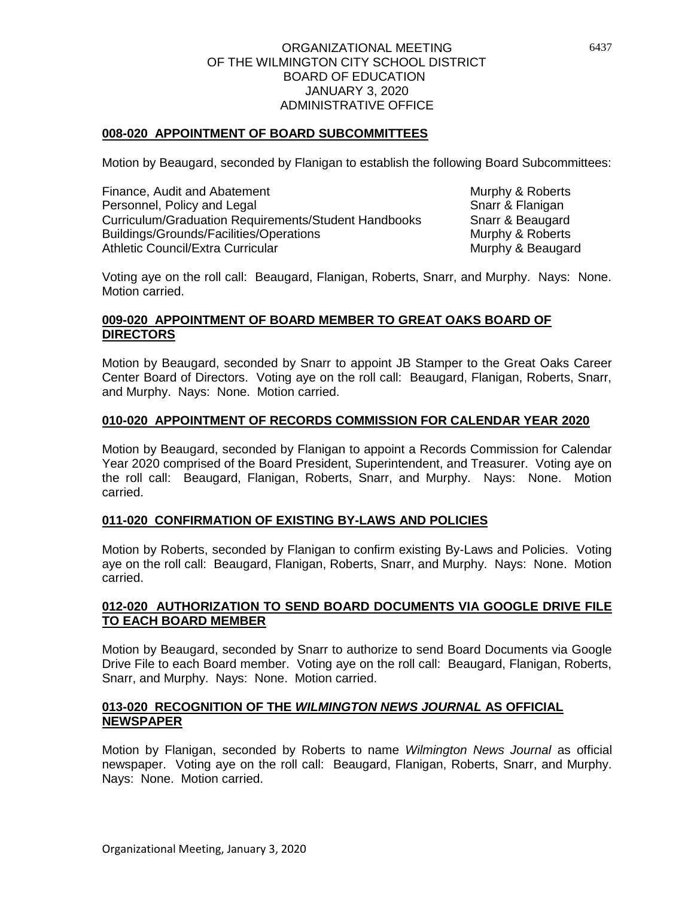# **008-020 APPOINTMENT OF BOARD SUBCOMMITTEES**

Motion by Beaugard, seconded by Flanigan to establish the following Board Subcommittees:

Finance, Audit and Abatement Murphy & Roberts<br>
Personnel, Policy and Legal Murphy & Flanigan Personnel, Policy and Legal Curriculum/Graduation Requirements/Student Handbooks Snarr & Beaugard Buildings/Grounds/Facilities/Operations Murphy & Roberts Athletic Council/Extra Curricular Murphy & Beaugard

Voting aye on the roll call: Beaugard, Flanigan, Roberts, Snarr, and Murphy. Nays: None. Motion carried.

# **009-020 APPOINTMENT OF BOARD MEMBER TO GREAT OAKS BOARD OF DIRECTORS**

Motion by Beaugard, seconded by Snarr to appoint JB Stamper to the Great Oaks Career Center Board of Directors. Voting aye on the roll call: Beaugard, Flanigan, Roberts, Snarr, and Murphy. Nays: None. Motion carried.

## **010-020 APPOINTMENT OF RECORDS COMMISSION FOR CALENDAR YEAR 2020**

Motion by Beaugard, seconded by Flanigan to appoint a Records Commission for Calendar Year 2020 comprised of the Board President, Superintendent, and Treasurer. Voting aye on the roll call: Beaugard, Flanigan, Roberts, Snarr, and Murphy. Nays: None. Motion carried.

### **011-020 CONFIRMATION OF EXISTING BY-LAWS AND POLICIES**

Motion by Roberts, seconded by Flanigan to confirm existing By-Laws and Policies. Voting aye on the roll call: Beaugard, Flanigan, Roberts, Snarr, and Murphy. Nays: None. Motion carried.

## **012-020 AUTHORIZATION TO SEND BOARD DOCUMENTS VIA GOOGLE DRIVE FILE TO EACH BOARD MEMBER**

Motion by Beaugard, seconded by Snarr to authorize to send Board Documents via Google Drive File to each Board member. Voting aye on the roll call: Beaugard, Flanigan, Roberts, Snarr, and Murphy. Nays: None. Motion carried.

### **013-020 RECOGNITION OF THE** *WILMINGTON NEWS JOURNAL* **AS OFFICIAL NEWSPAPER**

Motion by Flanigan, seconded by Roberts to name *Wilmington News Journal* as official newspaper. Voting aye on the roll call: Beaugard, Flanigan, Roberts, Snarr, and Murphy. Nays: None. Motion carried.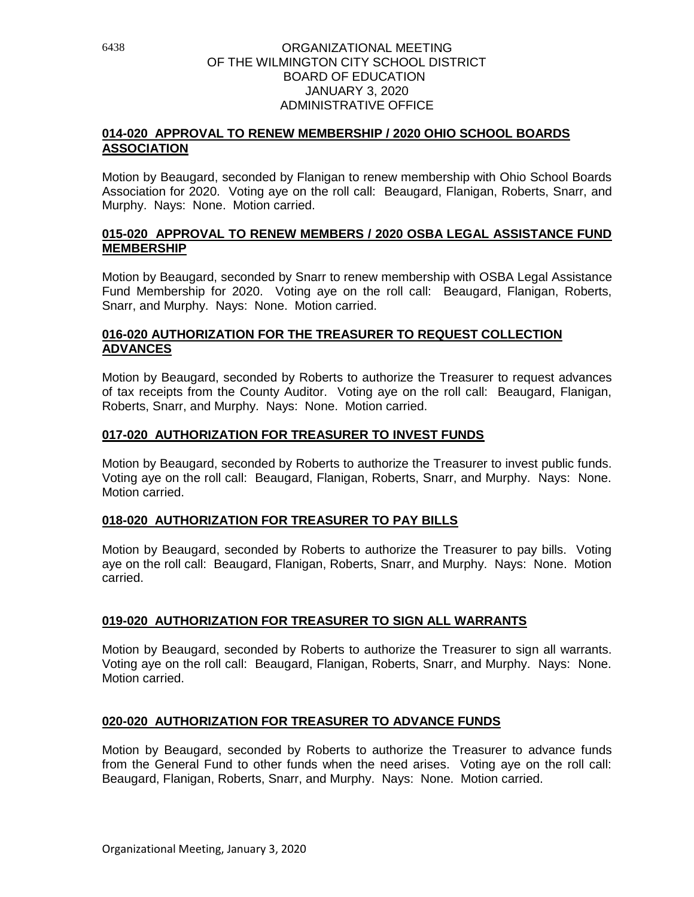# **014-020 APPROVAL TO RENEW MEMBERSHIP / 2020 OHIO SCHOOL BOARDS ASSOCIATION**

Motion by Beaugard, seconded by Flanigan to renew membership with Ohio School Boards Association for 2020. Voting aye on the roll call: Beaugard, Flanigan, Roberts, Snarr, and Murphy. Nays: None. Motion carried.

# **015-020 APPROVAL TO RENEW MEMBERS / 2020 OSBA LEGAL ASSISTANCE FUND MEMBERSHIP**

Motion by Beaugard, seconded by Snarr to renew membership with OSBA Legal Assistance Fund Membership for 2020. Voting aye on the roll call: Beaugard, Flanigan, Roberts, Snarr, and Murphy. Nays: None. Motion carried.

# **016-020 AUTHORIZATION FOR THE TREASURER TO REQUEST COLLECTION ADVANCES**

Motion by Beaugard, seconded by Roberts to authorize the Treasurer to request advances of tax receipts from the County Auditor. Voting aye on the roll call: Beaugard, Flanigan, Roberts, Snarr, and Murphy. Nays: None. Motion carried.

# **017-020 AUTHORIZATION FOR TREASURER TO INVEST FUNDS**

Motion by Beaugard, seconded by Roberts to authorize the Treasurer to invest public funds. Voting aye on the roll call: Beaugard, Flanigan, Roberts, Snarr, and Murphy. Nays: None. Motion carried.

### **018-020 AUTHORIZATION FOR TREASURER TO PAY BILLS**

Motion by Beaugard, seconded by Roberts to authorize the Treasurer to pay bills. Voting aye on the roll call: Beaugard, Flanigan, Roberts, Snarr, and Murphy. Nays: None. Motion carried.

# **019-020 AUTHORIZATION FOR TREASURER TO SIGN ALL WARRANTS**

Motion by Beaugard, seconded by Roberts to authorize the Treasurer to sign all warrants. Voting aye on the roll call: Beaugard, Flanigan, Roberts, Snarr, and Murphy. Nays: None. Motion carried.

# **020-020 AUTHORIZATION FOR TREASURER TO ADVANCE FUNDS**

Motion by Beaugard, seconded by Roberts to authorize the Treasurer to advance funds from the General Fund to other funds when the need arises. Voting aye on the roll call: Beaugard, Flanigan, Roberts, Snarr, and Murphy. Nays: None. Motion carried.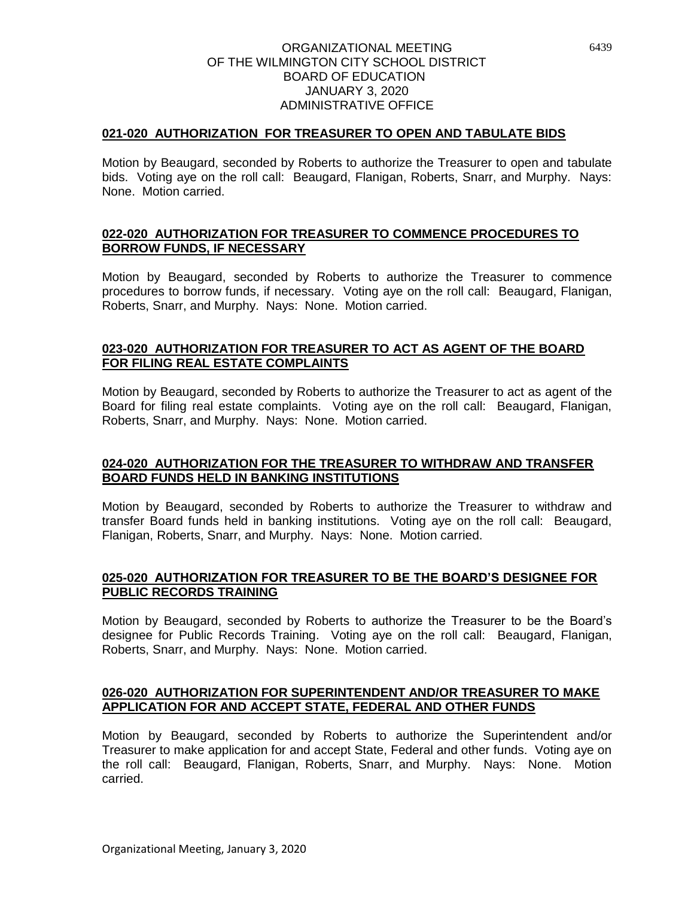## **021-020 AUTHORIZATION FOR TREASURER TO OPEN AND TABULATE BIDS**

Motion by Beaugard, seconded by Roberts to authorize the Treasurer to open and tabulate bids. Voting aye on the roll call: Beaugard, Flanigan, Roberts, Snarr, and Murphy. Nays: None. Motion carried.

# **022-020 AUTHORIZATION FOR TREASURER TO COMMENCE PROCEDURES TO BORROW FUNDS, IF NECESSARY**

Motion by Beaugard, seconded by Roberts to authorize the Treasurer to commence procedures to borrow funds, if necessary. Voting aye on the roll call: Beaugard, Flanigan, Roberts, Snarr, and Murphy. Nays: None. Motion carried.

# **023-020 AUTHORIZATION FOR TREASURER TO ACT AS AGENT OF THE BOARD FOR FILING REAL ESTATE COMPLAINTS**

Motion by Beaugard, seconded by Roberts to authorize the Treasurer to act as agent of the Board for filing real estate complaints. Voting aye on the roll call: Beaugard, Flanigan, Roberts, Snarr, and Murphy. Nays: None. Motion carried.

### **024-020 AUTHORIZATION FOR THE TREASURER TO WITHDRAW AND TRANSFER BOARD FUNDS HELD IN BANKING INSTITUTIONS**

Motion by Beaugard, seconded by Roberts to authorize the Treasurer to withdraw and transfer Board funds held in banking institutions. Voting aye on the roll call: Beaugard, Flanigan, Roberts, Snarr, and Murphy. Nays: None. Motion carried.

## **025-020 AUTHORIZATION FOR TREASURER TO BE THE BOARD'S DESIGNEE FOR PUBLIC RECORDS TRAINING**

Motion by Beaugard, seconded by Roberts to authorize the Treasurer to be the Board's designee for Public Records Training. Voting aye on the roll call: Beaugard, Flanigan, Roberts, Snarr, and Murphy. Nays: None. Motion carried.

## **026-020 AUTHORIZATION FOR SUPERINTENDENT AND/OR TREASURER TO MAKE APPLICATION FOR AND ACCEPT STATE, FEDERAL AND OTHER FUNDS**

Motion by Beaugard, seconded by Roberts to authorize the Superintendent and/or Treasurer to make application for and accept State, Federal and other funds. Voting aye on the roll call: Beaugard, Flanigan, Roberts, Snarr, and Murphy. Nays: None. Motion carried.